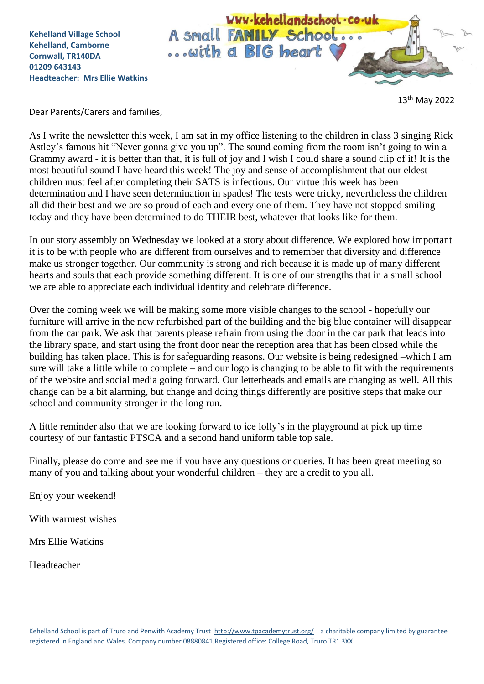**Kehelland Village School Kehelland, Camborne Cornwall, TR140DA 01209 643143 Headteacher: Mrs Ellie Watkins**



13th May 2022

Dear Parents/Carers and families,

As I write the newsletter this week, I am sat in my office listening to the children in class 3 singing Rick Astley's famous hit "Never gonna give you up". The sound coming from the room isn't going to win a Grammy award - it is better than that, it is full of joy and I wish I could share a sound clip of it! It is the most beautiful sound I have heard this week! The joy and sense of accomplishment that our eldest children must feel after completing their SATS is infectious. Our virtue this week has been determination and I have seen determination in spades! The tests were tricky, nevertheless the children all did their best and we are so proud of each and every one of them. They have not stopped smiling today and they have been determined to do THEIR best, whatever that looks like for them.

In our story assembly on Wednesday we looked at a story about difference. We explored how important it is to be with people who are different from ourselves and to remember that diversity and difference make us stronger together. Our community is strong and rich because it is made up of many different hearts and souls that each provide something different. It is one of our strengths that in a small school we are able to appreciate each individual identity and celebrate difference.

Over the coming week we will be making some more visible changes to the school - hopefully our furniture will arrive in the new refurbished part of the building and the big blue container will disappear from the car park. We ask that parents please refrain from using the door in the car park that leads into the library space, and start using the front door near the reception area that has been closed while the building has taken place. This is for safeguarding reasons. Our website is being redesigned –which I am sure will take a little while to complete – and our logo is changing to be able to fit with the requirements of the website and social media going forward. Our letterheads and emails are changing as well. All this change can be a bit alarming, but change and doing things differently are positive steps that make our school and community stronger in the long run.

A little reminder also that we are looking forward to ice lolly's in the playground at pick up time courtesy of our fantastic PTSCA and a second hand uniform table top sale.

Finally, please do come and see me if you have any questions or queries. It has been great meeting so many of you and talking about your wonderful children – they are a credit to you all.

Enjoy your weekend!

With warmest wishes

Mrs Ellie Watkins

Headteacher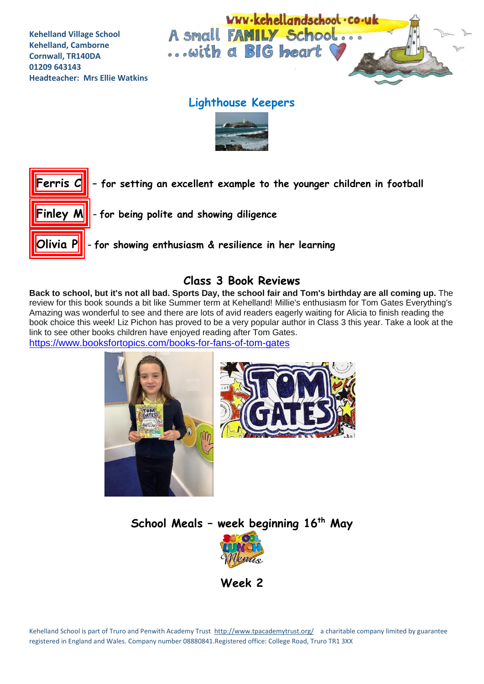**Kehelland Village School Kehelland, Camborne Cornwall, TR140DA 01209 643143 Headteacher: Mrs Ellie Watkins**



# **Lighthouse Keepers**





### **Class 3 Book Reviews**

Back to school, but it's not all bad. Sports Day, the school fair and Tom's birthday are all coming up. The review for this book sounds a bit like Summer term at Kehelland! Millie's enthusiasm for Tom Gates Everything's Amazing was wonderful to see and there are lots of avid readers eagerly waiting for Alicia to finish reading the book choice this week! Liz Pichon has proved to be a very popular author in Class 3 this year. Take a look at the link to see other books children have enjoyed reading after Tom Gates.

<https://www.booksfortopics.com/books-for-fans-of-tom-gates>





**School Meals – week beginning 16th May**



**Week 2**